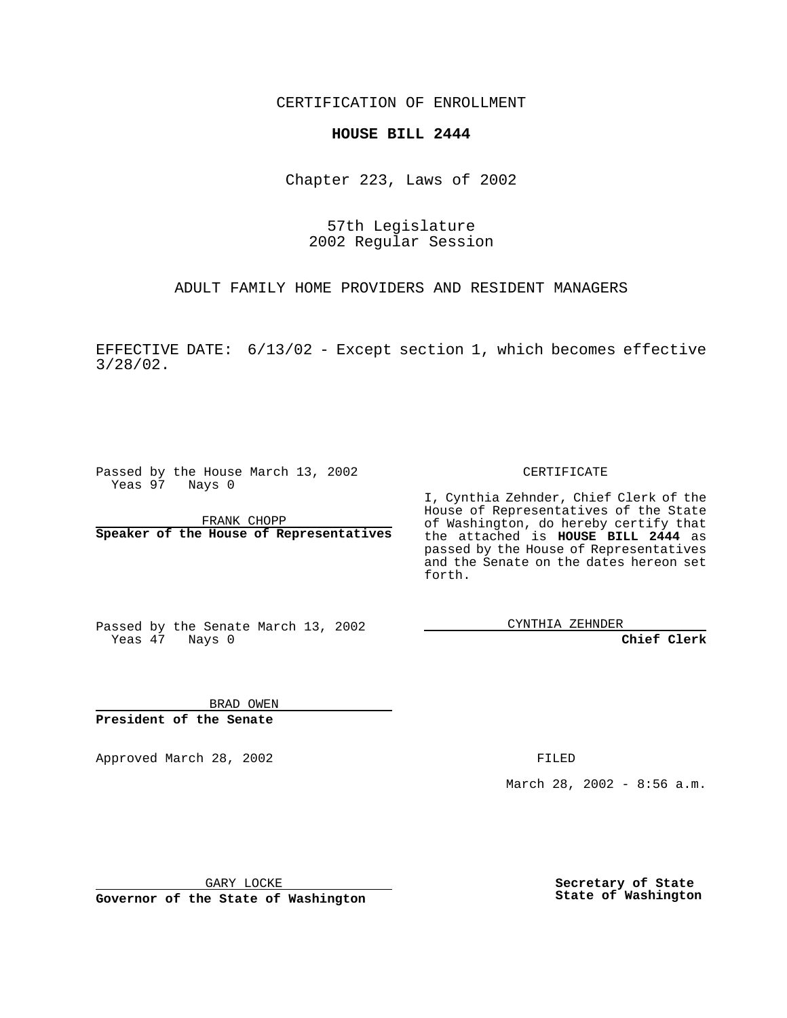CERTIFICATION OF ENROLLMENT

## **HOUSE BILL 2444**

Chapter 223, Laws of 2002

57th Legislature 2002 Regular Session

ADULT FAMILY HOME PROVIDERS AND RESIDENT MANAGERS

EFFECTIVE DATE: 6/13/02 - Except section 1, which becomes effective 3/28/02.

Passed by the House March 13, 2002 Yeas 97 Nays 0

FRANK CHOPP **Speaker of the House of Representatives**

#### CERTIFICATE

I, Cynthia Zehnder, Chief Clerk of the House of Representatives of the State of Washington, do hereby certify that the attached is **HOUSE BILL 2444** as passed by the House of Representatives and the Senate on the dates hereon set forth.

Passed by the Senate March 13, 2002 Yeas 47 Nays 0

CYNTHIA ZEHNDER

**Chief Clerk**

BRAD OWEN **President of the Senate**

Approved March 28, 2002 **FILED** 

March 28, 2002 - 8:56 a.m.

GARY LOCKE

**Governor of the State of Washington**

**Secretary of State State of Washington**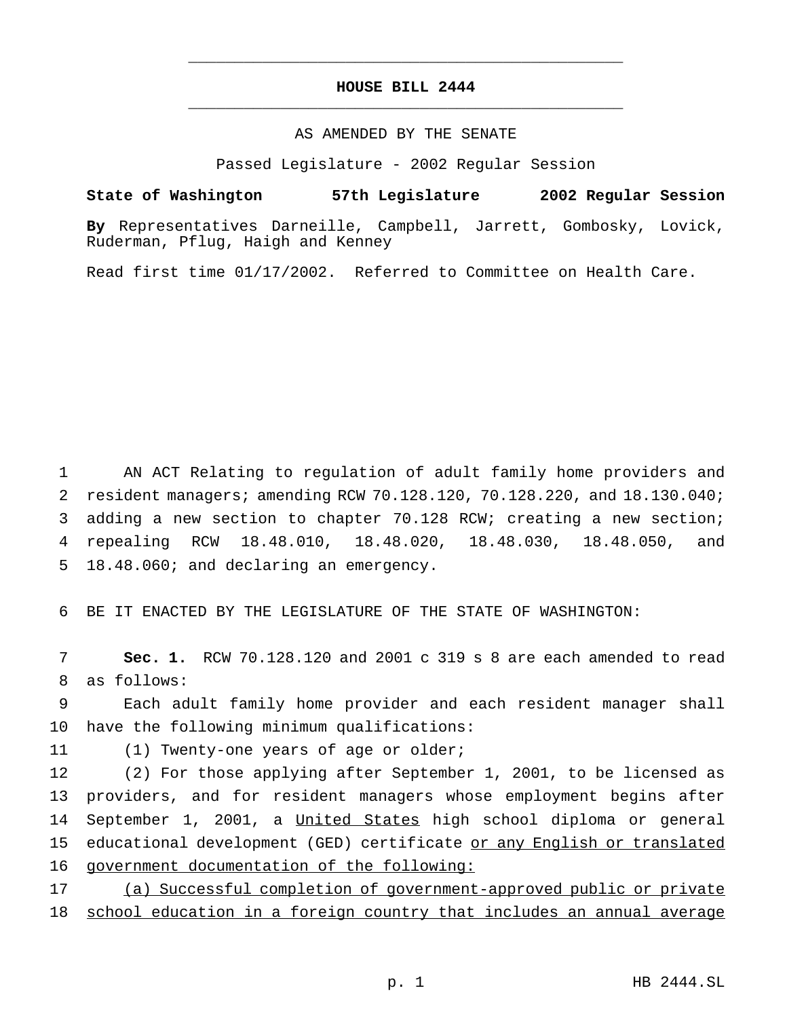# **HOUSE BILL 2444** \_\_\_\_\_\_\_\_\_\_\_\_\_\_\_\_\_\_\_\_\_\_\_\_\_\_\_\_\_\_\_\_\_\_\_\_\_\_\_\_\_\_\_\_\_\_\_

\_\_\_\_\_\_\_\_\_\_\_\_\_\_\_\_\_\_\_\_\_\_\_\_\_\_\_\_\_\_\_\_\_\_\_\_\_\_\_\_\_\_\_\_\_\_\_

### AS AMENDED BY THE SENATE

Passed Legislature - 2002 Regular Session

#### **State of Washington 57th Legislature 2002 Regular Session**

**By** Representatives Darneille, Campbell, Jarrett, Gombosky, Lovick, Ruderman, Pflug, Haigh and Kenney

Read first time 01/17/2002. Referred to Committee on Health Care.

 AN ACT Relating to regulation of adult family home providers and resident managers; amending RCW 70.128.120, 70.128.220, and 18.130.040; adding a new section to chapter 70.128 RCW; creating a new section; repealing RCW 18.48.010, 18.48.020, 18.48.030, 18.48.050, and 18.48.060; and declaring an emergency.

6 BE IT ENACTED BY THE LEGISLATURE OF THE STATE OF WASHINGTON:

7 **Sec. 1.** RCW 70.128.120 and 2001 c 319 s 8 are each amended to read 8 as follows:

9 Each adult family home provider and each resident manager shall 10 have the following minimum qualifications:

11 (1) Twenty-one years of age or older;

 (2) For those applying after September 1, 2001, to be licensed as providers, and for resident managers whose employment begins after 14 September 1, 2001, a United States high school diploma or general educational development (GED) certificate or any English or translated government documentation of the following:

17 (a) Successful completion of government-approved public or private 18 school education in a foreign country that includes an annual average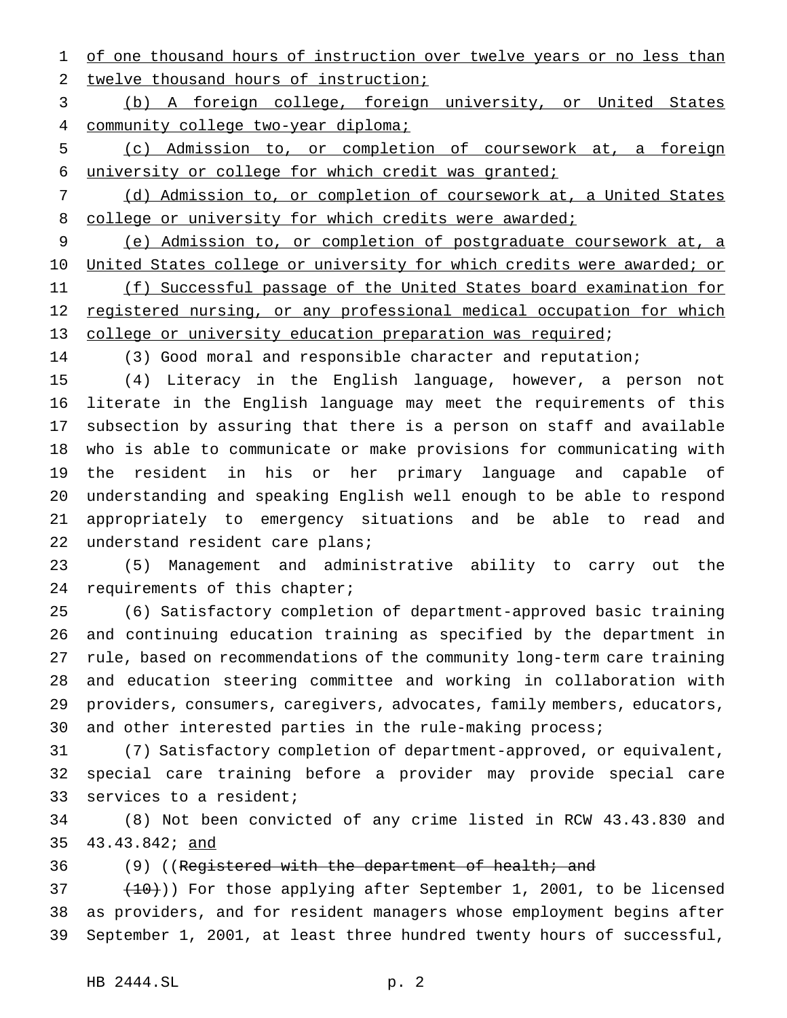1 of one thousand hours of instruction over twelve years or no less than twelve thousand hours of instruction;

 (b) A foreign college, foreign university, or United States 4 community college two-year diploma;

 (c) Admission to, or completion of coursework at, a foreign university or college for which credit was granted;

 (d) Admission to, or completion of coursework at, a United States 8 college or university for which credits were awarded;

 (e) Admission to, or completion of postgraduate coursework at, a United States college or university for which credits were awarded; or 11 (f) Successful passage of the United States board examination for registered nursing, or any professional medical occupation for which college or university education preparation was required;

(3) Good moral and responsible character and reputation;

 (4) Literacy in the English language, however, a person not literate in the English language may meet the requirements of this subsection by assuring that there is a person on staff and available who is able to communicate or make provisions for communicating with the resident in his or her primary language and capable of understanding and speaking English well enough to be able to respond appropriately to emergency situations and be able to read and understand resident care plans;

 (5) Management and administrative ability to carry out the requirements of this chapter;

 (6) Satisfactory completion of department-approved basic training and continuing education training as specified by the department in rule, based on recommendations of the community long-term care training and education steering committee and working in collaboration with providers, consumers, caregivers, advocates, family members, educators, and other interested parties in the rule-making process;

 (7) Satisfactory completion of department-approved, or equivalent, special care training before a provider may provide special care services to a resident;

 (8) Not been convicted of any crime listed in RCW 43.43.830 and 43.43.842; and

36 (9) ((Registered with the department of health; and

 $(10)$ ) For those applying after September 1, 2001, to be licensed as providers, and for resident managers whose employment begins after September 1, 2001, at least three hundred twenty hours of successful,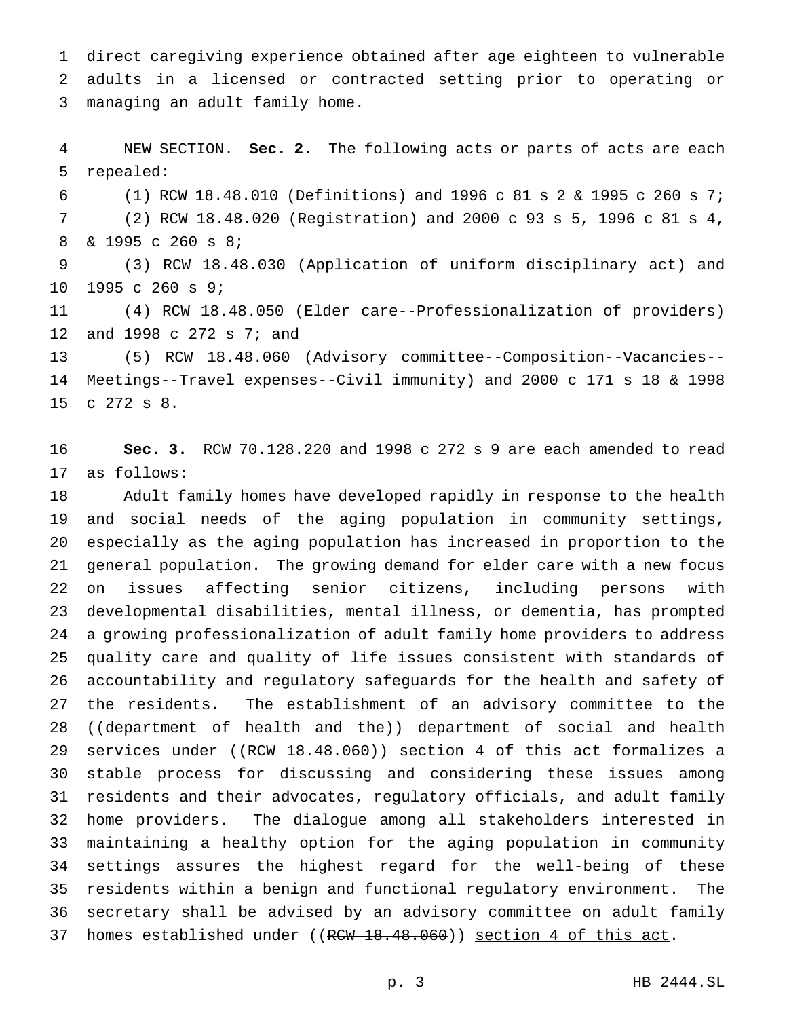direct caregiving experience obtained after age eighteen to vulnerable adults in a licensed or contracted setting prior to operating or managing an adult family home.

 NEW SECTION. **Sec. 2.** The following acts or parts of acts are each repealed:

 (1) RCW 18.48.010 (Definitions) and 1996 c 81s2& 1995 c 260 s 7; (2) RCW 18.48.020 (Registration) and 2000 c 93 s 5, 1996 c 81 s 4, & 1995 c 260 s 8;

 (3) RCW 18.48.030 (Application of uniform disciplinary act) and 1995 c 260 s 9;

 (4) RCW 18.48.050 (Elder care--Professionalization of providers) and 1998 c 272 s 7; and

 (5) RCW 18.48.060 (Advisory committee--Composition--Vacancies-- Meetings--Travel expenses--Civil immunity) and 2000 c 171 s 18 & 1998 c 272 s 8.

 **Sec. 3.** RCW 70.128.220 and 1998 c 272 s 9 are each amended to read as follows:

 Adult family homes have developed rapidly in response to the health and social needs of the aging population in community settings, especially as the aging population has increased in proportion to the general population. The growing demand for elder care with a new focus on issues affecting senior citizens, including persons with developmental disabilities, mental illness, or dementia, has prompted a growing professionalization of adult family home providers to address quality care and quality of life issues consistent with standards of accountability and regulatory safeguards for the health and safety of the residents. The establishment of an advisory committee to the 28 ((department of health and the)) department of social and health 29 services under ((RCW 18.48.060)) section 4 of this act formalizes a stable process for discussing and considering these issues among residents and their advocates, regulatory officials, and adult family home providers. The dialogue among all stakeholders interested in maintaining a healthy option for the aging population in community settings assures the highest regard for the well-being of these residents within a benign and functional regulatory environment. The secretary shall be advised by an advisory committee on adult family 37 homes established under ((RCW 18.48.060)) section 4 of this act.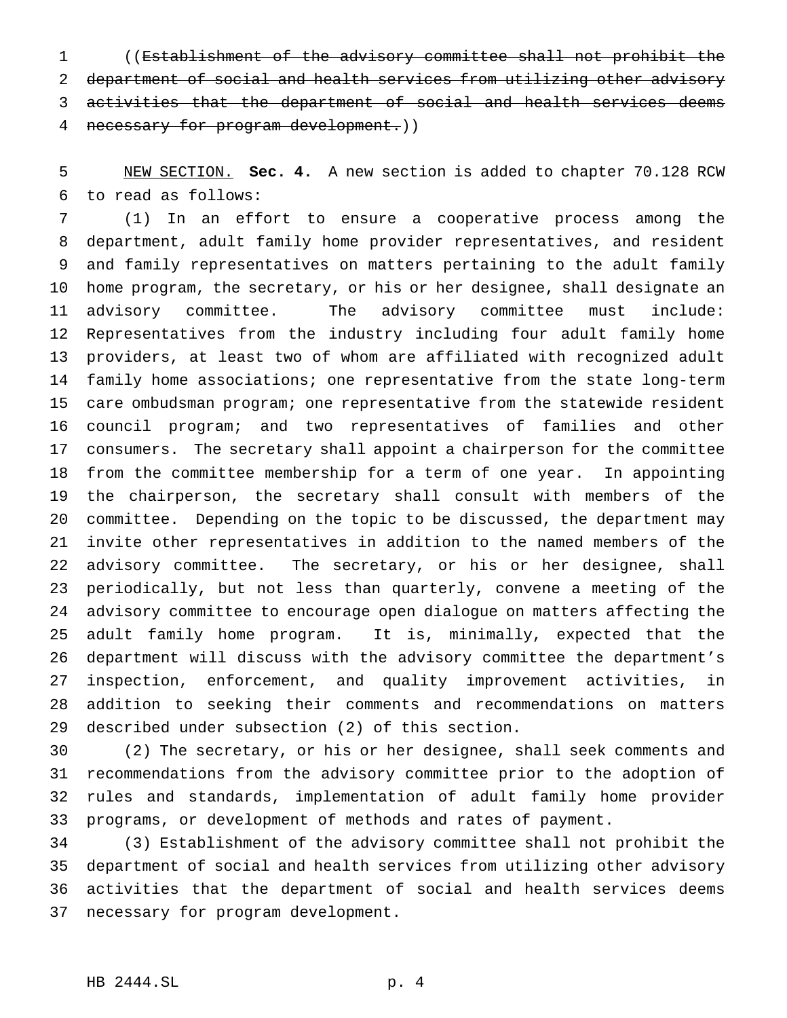((Establishment of the advisory committee shall not prohibit the department of social and health services from utilizing other advisory activities that the department of social and health services deems 4 necessary for program development.))

 NEW SECTION. **Sec. 4.** A new section is added to chapter 70.128 RCW to read as follows:

 (1) In an effort to ensure a cooperative process among the department, adult family home provider representatives, and resident and family representatives on matters pertaining to the adult family home program, the secretary, or his or her designee, shall designate an advisory committee. The advisory committee must include: Representatives from the industry including four adult family home providers, at least two of whom are affiliated with recognized adult family home associations; one representative from the state long-term care ombudsman program; one representative from the statewide resident council program; and two representatives of families and other consumers. The secretary shall appoint a chairperson for the committee from the committee membership for a term of one year. In appointing the chairperson, the secretary shall consult with members of the committee. Depending on the topic to be discussed, the department may invite other representatives in addition to the named members of the advisory committee. The secretary, or his or her designee, shall periodically, but not less than quarterly, convene a meeting of the advisory committee to encourage open dialogue on matters affecting the adult family home program. It is, minimally, expected that the department will discuss with the advisory committee the department's inspection, enforcement, and quality improvement activities, in addition to seeking their comments and recommendations on matters described under subsection (2) of this section.

 (2) The secretary, or his or her designee, shall seek comments and recommendations from the advisory committee prior to the adoption of rules and standards, implementation of adult family home provider programs, or development of methods and rates of payment.

 (3) Establishment of the advisory committee shall not prohibit the department of social and health services from utilizing other advisory activities that the department of social and health services deems necessary for program development.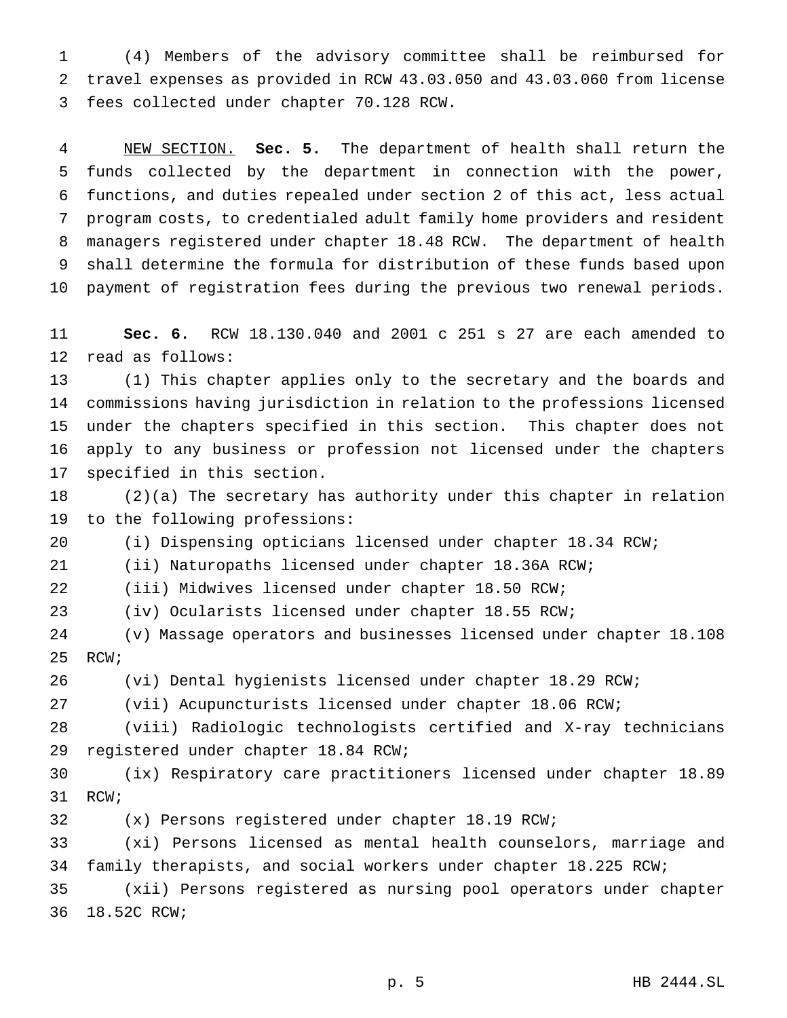(4) Members of the advisory committee shall be reimbursed for travel expenses as provided in RCW 43.03.050 and 43.03.060 from license fees collected under chapter 70.128 RCW.

 NEW SECTION. **Sec. 5.** The department of health shall return the funds collected by the department in connection with the power, functions, and duties repealed under section 2 of this act, less actual program costs, to credentialed adult family home providers and resident managers registered under chapter 18.48 RCW. The department of health shall determine the formula for distribution of these funds based upon payment of registration fees during the previous two renewal periods.

 **Sec. 6.** RCW 18.130.040 and 2001 c 251 s 27 are each amended to read as follows:

 (1) This chapter applies only to the secretary and the boards and commissions having jurisdiction in relation to the professions licensed under the chapters specified in this section. This chapter does not apply to any business or profession not licensed under the chapters specified in this section.

 (2)(a) The secretary has authority under this chapter in relation to the following professions:

(i) Dispensing opticians licensed under chapter 18.34 RCW;

(ii) Naturopaths licensed under chapter 18.36A RCW;

(iii) Midwives licensed under chapter 18.50 RCW;

(iv) Ocularists licensed under chapter 18.55 RCW;

 (v) Massage operators and businesses licensed under chapter 18.108 RCW;

(vi) Dental hygienists licensed under chapter 18.29 RCW;

(vii) Acupuncturists licensed under chapter 18.06 RCW;

 (viii) Radiologic technologists certified and X-ray technicians registered under chapter 18.84 RCW;

 (ix) Respiratory care practitioners licensed under chapter 18.89 RCW;

(x) Persons registered under chapter 18.19 RCW;

 (xi) Persons licensed as mental health counselors, marriage and family therapists, and social workers under chapter 18.225 RCW;

 (xii) Persons registered as nursing pool operators under chapter 18.52C RCW;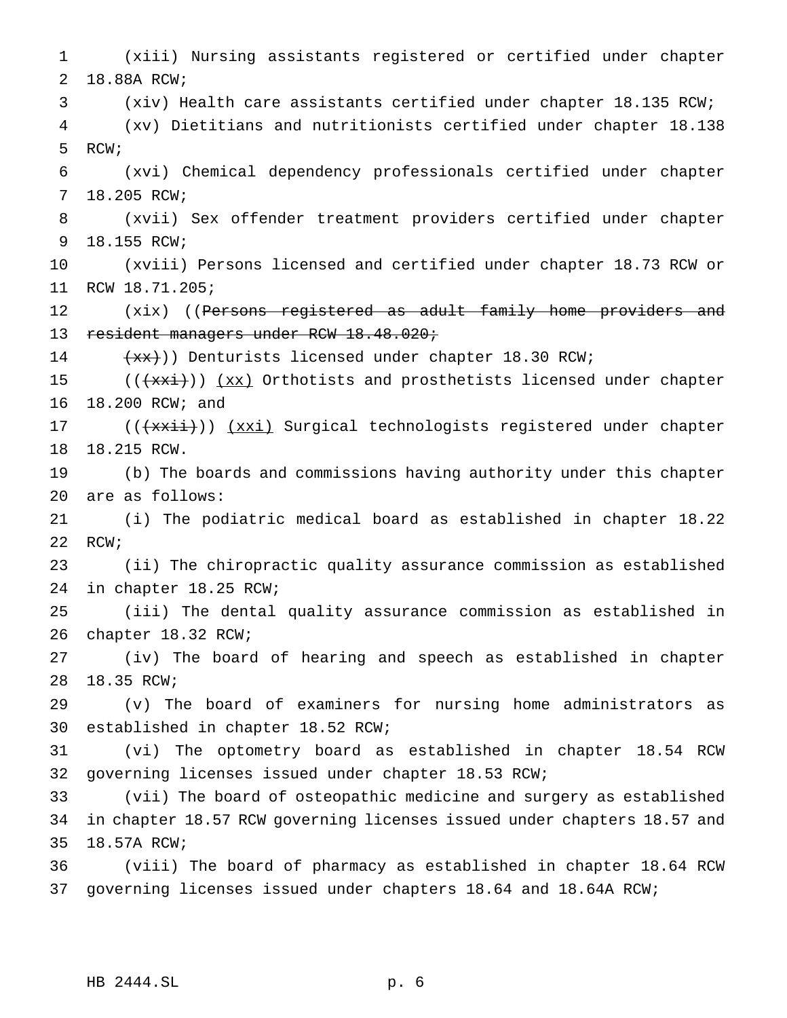(xiii) Nursing assistants registered or certified under chapter 18.88A RCW; (xiv) Health care assistants certified under chapter 18.135 RCW; (xv) Dietitians and nutritionists certified under chapter 18.138 RCW; (xvi) Chemical dependency professionals certified under chapter 18.205 RCW; (xvii) Sex offender treatment providers certified under chapter 18.155 RCW; (xviii) Persons licensed and certified under chapter 18.73 RCW or RCW 18.71.205; 12 (xix) ((Persons registered as adult family home providers and 13 resident managers under RCW 18.48.020; 14 (xx))) Denturists licensed under chapter 18.30 RCW; 15 (( $\frac{1}{x}$ )) (xx) Orthotists and prosthetists licensed under chapter 18.200 RCW; and 17 (( $\frac{1}{x\cdot\cdot}$ )) ( $\frac{x\cdot\cdot}{x\cdot\cdot}$  Surgical technologists registered under chapter 18.215 RCW. (b) The boards and commissions having authority under this chapter are as follows: (i) The podiatric medical board as established in chapter 18.22 22 RCW; (ii) The chiropractic quality assurance commission as established in chapter 18.25 RCW; (iii) The dental quality assurance commission as established in chapter 18.32 RCW; (iv) The board of hearing and speech as established in chapter 18.35 RCW; (v) The board of examiners for nursing home administrators as established in chapter 18.52 RCW; (vi) The optometry board as established in chapter 18.54 RCW governing licenses issued under chapter 18.53 RCW; (vii) The board of osteopathic medicine and surgery as established in chapter 18.57 RCW governing licenses issued under chapters 18.57 and 18.57A RCW; (viii) The board of pharmacy as established in chapter 18.64 RCW governing licenses issued under chapters 18.64 and 18.64A RCW;